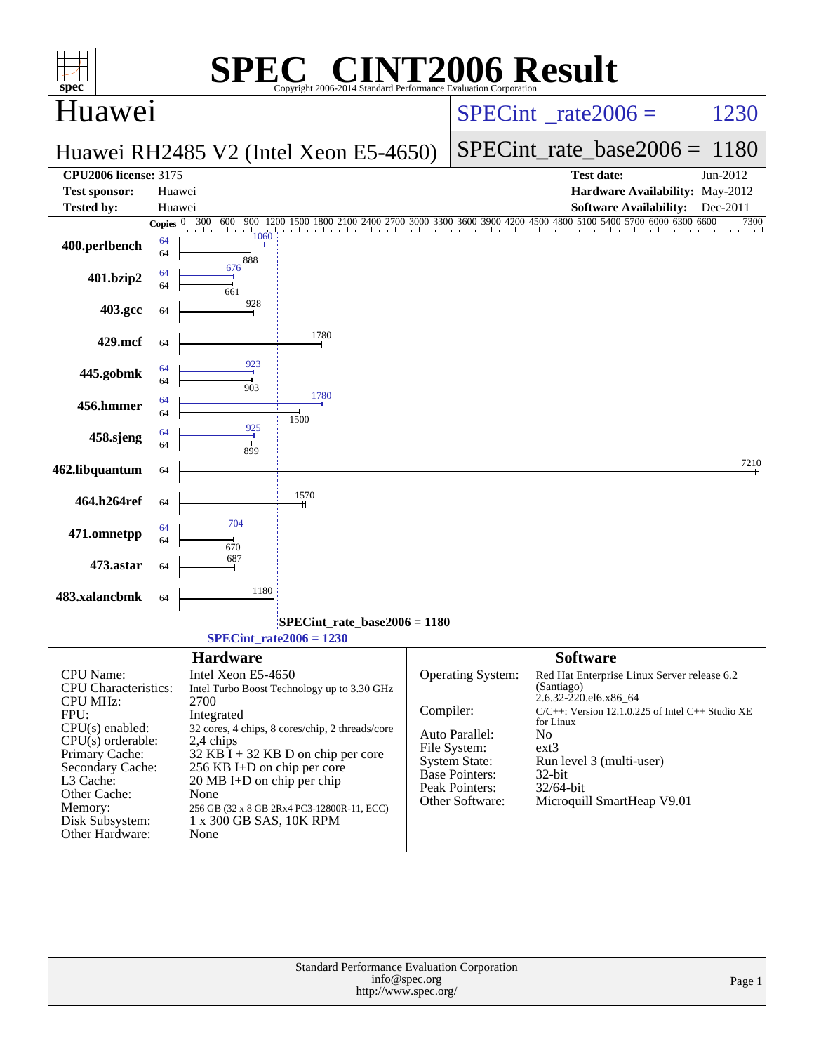| <b>INT2006 Result</b><br>$\bigcap$<br>SPE<br>$\mathbf{spec}^*$<br>Copyright 2006-2014 Standard Performance Evaluation Cornoration |                        |                                              |                                                                     |               |                                               |                                                                                                                                     |                                 |  |  |  |
|-----------------------------------------------------------------------------------------------------------------------------------|------------------------|----------------------------------------------|---------------------------------------------------------------------|---------------|-----------------------------------------------|-------------------------------------------------------------------------------------------------------------------------------------|---------------------------------|--|--|--|
| Huawei                                                                                                                            |                        |                                              |                                                                     |               | $SPECint^{\circ}$ rate $2006 =$               | 1230                                                                                                                                |                                 |  |  |  |
|                                                                                                                                   |                        |                                              | Huawei RH2485 V2 (Intel Xeon E5-4650)                               |               | $SPECint_rate_base2006 = 1180$                |                                                                                                                                     |                                 |  |  |  |
| <b>CPU2006 license: 3175</b>                                                                                                      |                        |                                              |                                                                     |               |                                               | <b>Test date:</b>                                                                                                                   | Jun-2012                        |  |  |  |
| <b>Test sponsor:</b>                                                                                                              | Huawei                 |                                              |                                                                     |               |                                               |                                                                                                                                     | Hardware Availability: May-2012 |  |  |  |
| <b>Tested by:</b>                                                                                                                 | Huawei<br>Copies $ 0 $ | 300 600                                      |                                                                     |               |                                               | <b>Software Availability:</b><br>900 1200 1500 1800 2100 2400 2700 3000 3300 3600 3900 4200 4500 4800 5100 5400 5700 6000 6300 6600 | Dec-2011<br>7300                |  |  |  |
| 400.perlbench                                                                                                                     | 64<br>64               | 1060<br>888                                  |                                                                     |               |                                               | . 1. 1. 1. 1. 1. 1. 1. 1. 1. 1. 1. 1.                                                                                               |                                 |  |  |  |
| 401.bzip2                                                                                                                         | 64<br>64               | 676<br>661                                   |                                                                     |               |                                               |                                                                                                                                     |                                 |  |  |  |
| 403.gcc                                                                                                                           | 64                     | 928                                          |                                                                     |               |                                               |                                                                                                                                     |                                 |  |  |  |
| 429.mcf                                                                                                                           | 64                     |                                              | 1780                                                                |               |                                               |                                                                                                                                     |                                 |  |  |  |
| 445.gobmk                                                                                                                         | 64<br>64               | 923<br>903                                   | 1780                                                                |               |                                               |                                                                                                                                     |                                 |  |  |  |
| 456.hmmer                                                                                                                         | 64<br>64               |                                              | 1500                                                                |               |                                               |                                                                                                                                     |                                 |  |  |  |
| 458.sjeng                                                                                                                         | 64<br>64               | 925<br>899                                   |                                                                     |               |                                               |                                                                                                                                     |                                 |  |  |  |
| 462.libquantum                                                                                                                    | 64                     |                                              |                                                                     |               |                                               |                                                                                                                                     | 7210                            |  |  |  |
| 464.h264ref                                                                                                                       | 64                     |                                              | 1570                                                                |               |                                               |                                                                                                                                     |                                 |  |  |  |
| 471.omnetpp                                                                                                                       | 64<br>64               | 704<br>670                                   |                                                                     |               |                                               |                                                                                                                                     |                                 |  |  |  |
| 473.astar                                                                                                                         | 64                     | 687                                          |                                                                     |               |                                               |                                                                                                                                     |                                 |  |  |  |
| 483.xalancbmk                                                                                                                     | 64                     | 1180                                         |                                                                     |               |                                               |                                                                                                                                     |                                 |  |  |  |
|                                                                                                                                   |                        |                                              | SPECint_rate_base2006 = 1180<br>$SPECint_rate2006 = 1230$           |               |                                               |                                                                                                                                     |                                 |  |  |  |
|                                                                                                                                   |                        | <b>Hardware</b>                              |                                                                     |               |                                               | <b>Software</b>                                                                                                                     |                                 |  |  |  |
| CPU Name:<br><b>CPU</b> Characteristics:                                                                                          |                        | Intel Xeon E5-4650                           | Intel Turbo Boost Technology up to 3.30 GHz                         |               | Operating System:                             | Red Hat Enterprise Linux Server release 6.2<br>(Santiago)                                                                           |                                 |  |  |  |
| <b>CPU MHz:</b><br>FPU:                                                                                                           |                        | 2700<br>Integrated                           |                                                                     | Compiler:     |                                               | 2.6.32-220.el6.x86_64<br>$C/C++$ : Version 12.1.0.225 of Intel $C++$ Studio XE                                                      |                                 |  |  |  |
| $CPU(s)$ enabled:<br>32 cores, 4 chips, 8 cores/chip, 2 threads/core                                                              |                        |                                              |                                                                     |               | Auto Parallel:                                | for Linux<br>No                                                                                                                     |                                 |  |  |  |
| $CPU(s)$ orderable:<br>2,4 chips                                                                                                  |                        |                                              |                                                                     |               | File System:                                  | ext3                                                                                                                                |                                 |  |  |  |
| Primary Cache:<br>$32$ KB I + 32 KB D on chip per core<br>Secondary Cache:<br>256 KB I+D on chip per core                         |                        |                                              |                                                                     |               | <b>System State:</b><br><b>Base Pointers:</b> | Run level 3 (multi-user)<br>$32$ -bit                                                                                               |                                 |  |  |  |
| L3 Cache:<br>Other Cache:                                                                                                         |                        | $20 \text{ MB I+D}$ on chip per chip<br>None |                                                                     |               | Peak Pointers:                                | 32/64-bit                                                                                                                           |                                 |  |  |  |
| Memory:                                                                                                                           |                        |                                              | 256 GB (32 x 8 GB 2Rx4 PC3-12800R-11, ECC)                          |               | Other Software:                               | Microquill SmartHeap V9.01                                                                                                          |                                 |  |  |  |
| Disk Subsystem:<br>Other Hardware:                                                                                                |                        | 1 x 300 GB SAS, 10K RPM<br>None              |                                                                     |               |                                               |                                                                                                                                     |                                 |  |  |  |
|                                                                                                                                   |                        |                                              |                                                                     |               |                                               |                                                                                                                                     |                                 |  |  |  |
|                                                                                                                                   |                        |                                              | Standard Performance Evaluation Corporation<br>http://www.spec.org/ | info@spec.org |                                               |                                                                                                                                     | Page 1                          |  |  |  |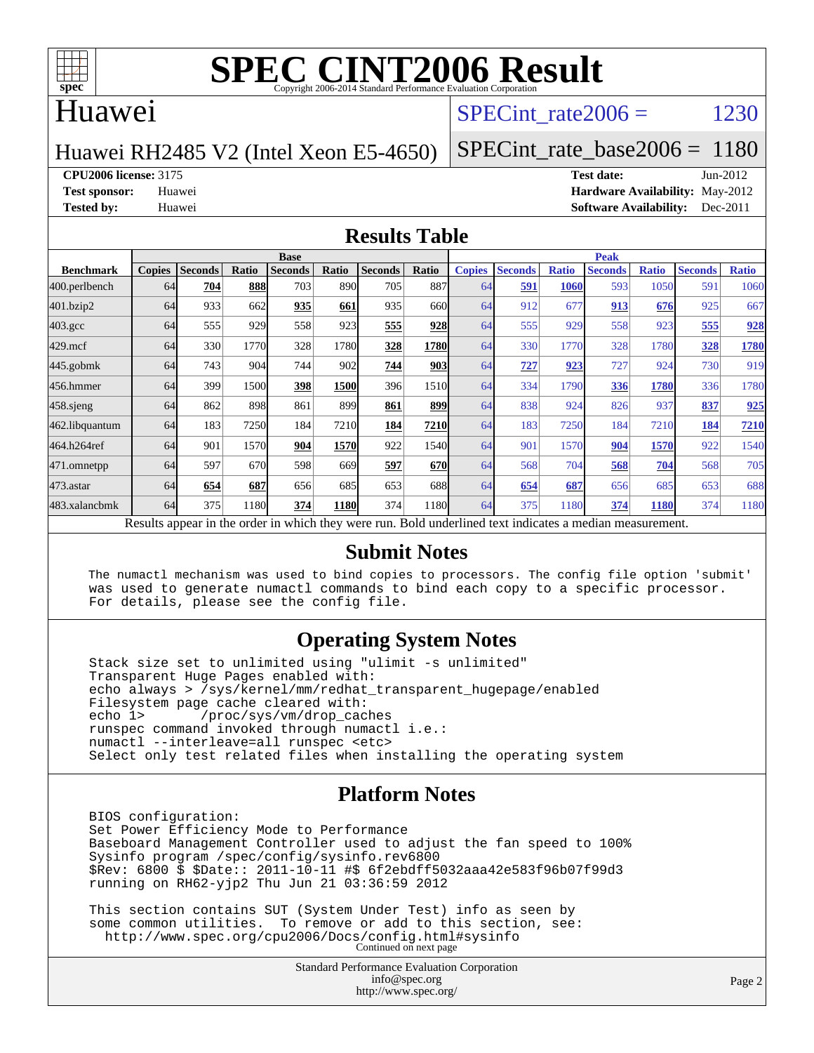

### Huawei

### SPECint rate $2006 = 1230$

### Huawei RH2485 V2 (Intel Xeon E5-4650)

[SPECint\\_rate\\_base2006 =](http://www.spec.org/auto/cpu2006/Docs/result-fields.html#SPECintratebase2006) 1180

#### **[CPU2006 license:](http://www.spec.org/auto/cpu2006/Docs/result-fields.html#CPU2006license)** 3175 **[Test date:](http://www.spec.org/auto/cpu2006/Docs/result-fields.html#Testdate)** Jun-2012

**[Test sponsor:](http://www.spec.org/auto/cpu2006/Docs/result-fields.html#Testsponsor)** Huawei **[Hardware Availability:](http://www.spec.org/auto/cpu2006/Docs/result-fields.html#HardwareAvailability)** May-2012 **[Tested by:](http://www.spec.org/auto/cpu2006/Docs/result-fields.html#Testedby)** Huawei **[Software Availability:](http://www.spec.org/auto/cpu2006/Docs/result-fields.html#SoftwareAvailability)** Dec-2011

### **[Results Table](http://www.spec.org/auto/cpu2006/Docs/result-fields.html#ResultsTable)**

|                                                                                                          | <b>Base</b>   |                |       |                |       |                |              | <b>Peak</b>   |                |              |                |              |                |              |
|----------------------------------------------------------------------------------------------------------|---------------|----------------|-------|----------------|-------|----------------|--------------|---------------|----------------|--------------|----------------|--------------|----------------|--------------|
| <b>Benchmark</b>                                                                                         | <b>Copies</b> | <b>Seconds</b> | Ratio | <b>Seconds</b> | Ratio | <b>Seconds</b> | <b>Ratio</b> | <b>Copies</b> | <b>Seconds</b> | <b>Ratio</b> | <b>Seconds</b> | <b>Ratio</b> | <b>Seconds</b> | <b>Ratio</b> |
| 400.perlbench                                                                                            | 64            | 704            | 888   | 703            | 890   | 705            | 887          | 64            | 591            | 1060         | 593            | 1050         | 591            | 1060         |
| 401.bzip2                                                                                                | 64            | 933            | 662   | 935            | 661   | 935            | 660l         | 64            | 912            | 677          | 913            | 676          | 925            | 667          |
| $403.\mathrm{gcc}$                                                                                       | 64            | 555            | 929   | 558            | 923   | 555            | 928          | 64            | 555            | 929          | 558            | 923          | 555            | 928          |
| $429$ .mcf                                                                                               | 64            | 330            | 1770  | 328            | 1780  | 328            | 1780         | 64            | 330            | 1770         | 328            | 1780         | 328            | 1780         |
| $445$ .gobmk                                                                                             | 64            | 743            | 904   | 744            | 902   | 744            | 903          | 64            | 727            | 923          | 727            | 924          | 730            | 919          |
| 456.hmmer                                                                                                | 64            | 399            | 1500  | 398            | 1500  | 396            | 1510         | 64            | 334            | 1790         | 336            | 1780         | 336            | 1780         |
| $458$ .sjeng                                                                                             | 64            | 862            | 898   | 861            | 899   | 861            | 899          | 64            | 838            | 924          | 826            | 937          | 837            | 925          |
| 462.libquantum                                                                                           | 64            | 183            | 7250  | 184            | 7210  | 184            | 7210         | 64            | 183            | 7250         | 184            | 7210         | 184            | 7210         |
| 464.h264ref                                                                                              | 64            | 901            | 1570  | 904            | 1570  | 922            | 1540         | 64            | 901            | 1570         | 904            | 1570         | 922            | 1540         |
| 471.omnetpp                                                                                              | 64            | 597            | 670   | 598            | 669   | 597            | <b>670</b>   | 64            | 568            | 704          | 568            | 704          | 568            | 705          |
| $473$ . astar                                                                                            | 64            | 654            | 687   | 656            | 685   | 653            | 688          | 64            | 654            | 687          | 656            | 685          | 653            | 688          |
| 483.xalancbmk                                                                                            | 64            | 375            | 1180  | 374            | 1180  | 374            | 1180         | 64            | 375            | 1180         | 374            | 1180         | 374            | 1180         |
| Results appear in the order in which they were run. Bold underlined text indicates a median measurement. |               |                |       |                |       |                |              |               |                |              |                |              |                |              |

#### **[Submit Notes](http://www.spec.org/auto/cpu2006/Docs/result-fields.html#SubmitNotes)**

 The numactl mechanism was used to bind copies to processors. The config file option 'submit' was used to generate numactl commands to bind each copy to a specific processor. For details, please see the config file.

### **[Operating System Notes](http://www.spec.org/auto/cpu2006/Docs/result-fields.html#OperatingSystemNotes)**

 Stack size set to unlimited using "ulimit -s unlimited" Transparent Huge Pages enabled with: echo always > /sys/kernel/mm/redhat\_transparent\_hugepage/enabled Filesystem page cache cleared with:<br>echo 1> /proc/sys/vm/drop cac /proc/sys/vm/drop\_caches runspec command invoked through numactl i.e.: numactl --interleave=all runspec <etc> Select only test related files when installing the operating system

### **[Platform Notes](http://www.spec.org/auto/cpu2006/Docs/result-fields.html#PlatformNotes)**

 BIOS configuration: Set Power Efficiency Mode to Performance Baseboard Management Controller used to adjust the fan speed to 100% Sysinfo program /spec/config/sysinfo.rev6800 \$Rev: 6800 \$ \$Date:: 2011-10-11 #\$ 6f2ebdff5032aaa42e583f96b07f99d3 running on RH62-yjp2 Thu Jun 21 03:36:59 2012

 This section contains SUT (System Under Test) info as seen by some common utilities. To remove or add to this section, see: <http://www.spec.org/cpu2006/Docs/config.html#sysinfo> Continued on next page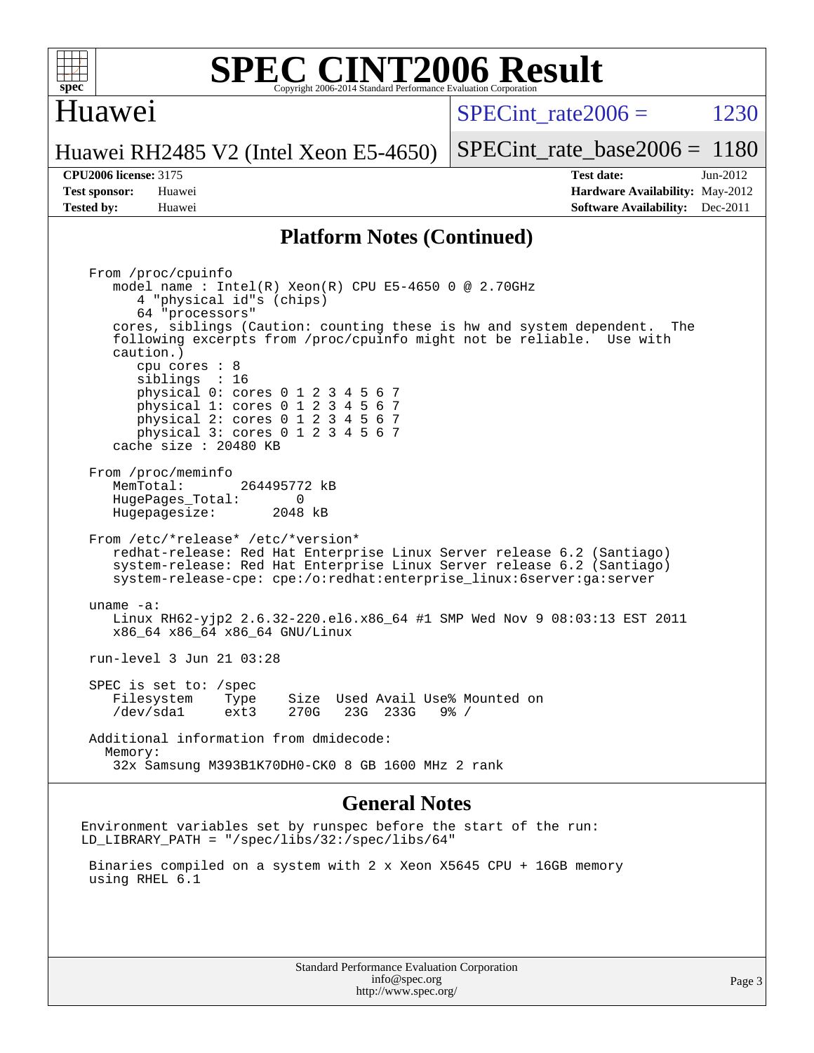

## Huawei

SPECint rate $2006 = 1230$ 

Huawei RH2485 V2 (Intel Xeon E5-4650)

[SPECint\\_rate\\_base2006 =](http://www.spec.org/auto/cpu2006/Docs/result-fields.html#SPECintratebase2006) 1180

**[Tested by:](http://www.spec.org/auto/cpu2006/Docs/result-fields.html#Testedby)** Huawei **[Software Availability:](http://www.spec.org/auto/cpu2006/Docs/result-fields.html#SoftwareAvailability)** Dec-2011

**[CPU2006 license:](http://www.spec.org/auto/cpu2006/Docs/result-fields.html#CPU2006license)** 3175 **[Test date:](http://www.spec.org/auto/cpu2006/Docs/result-fields.html#Testdate)** Jun-2012 **[Test sponsor:](http://www.spec.org/auto/cpu2006/Docs/result-fields.html#Testsponsor)** Huawei **[Hardware Availability:](http://www.spec.org/auto/cpu2006/Docs/result-fields.html#HardwareAvailability)** May-2012

### **[Platform Notes \(Continued\)](http://www.spec.org/auto/cpu2006/Docs/result-fields.html#PlatformNotes)**

 From /proc/cpuinfo model name : Intel(R) Xeon(R) CPU E5-4650 0 @ 2.70GHz 4 "physical id"s (chips) 64 "processors" cores, siblings (Caution: counting these is hw and system dependent. The following excerpts from /proc/cpuinfo might not be reliable. Use with caution.) cpu cores : 8 siblings : 16 physical 0: cores 0 1 2 3 4 5 6 7 physical 1: cores 0 1 2 3 4 5 6 7 physical 2: cores 0 1 2 3 4 5 6 7 physical 3: cores 0 1 2 3 4 5 6 7 cache size : 20480 KB From /proc/meminfo MemTotal: 264495772 kB HugePages\_Total: 0<br>Hugepagesize: 2048 kB Hugepagesize: From /etc/\*release\* /etc/\*version\* redhat-release: Red Hat Enterprise Linux Server release 6.2 (Santiago) system-release: Red Hat Enterprise Linux Server release 6.2 (Santiago) system-release-cpe: cpe:/o:redhat:enterprise\_linux:6server:ga:server uname -a: Linux RH62-yjp2 2.6.32-220.el6.x86\_64 #1 SMP Wed Nov 9 08:03:13 EST 2011 x86\_64 x86\_64 x86\_64 GNU/Linux run-level 3 Jun 21 03:28 SPEC is set to: /spec Filesystem Type Size Used-Avail-Use%-Mounted-on-<br>  $\text{dev/sda1}$  ext3 270G 23G 233G 9%-/ 23G 233G 9% / Additional information from dmidecode: Memory: 32x Samsung M393B1K70DH0-CK0 8 GB 1600 MHz 2 rank

#### **[General Notes](http://www.spec.org/auto/cpu2006/Docs/result-fields.html#GeneralNotes)**

Environment variables set by runspec before the start of the run: LD\_LIBRARY\_PATH = "/spec/libs/32:/spec/libs/64"

 Binaries compiled on a system with 2 x Xeon X5645 CPU + 16GB memory using RHEL 6.1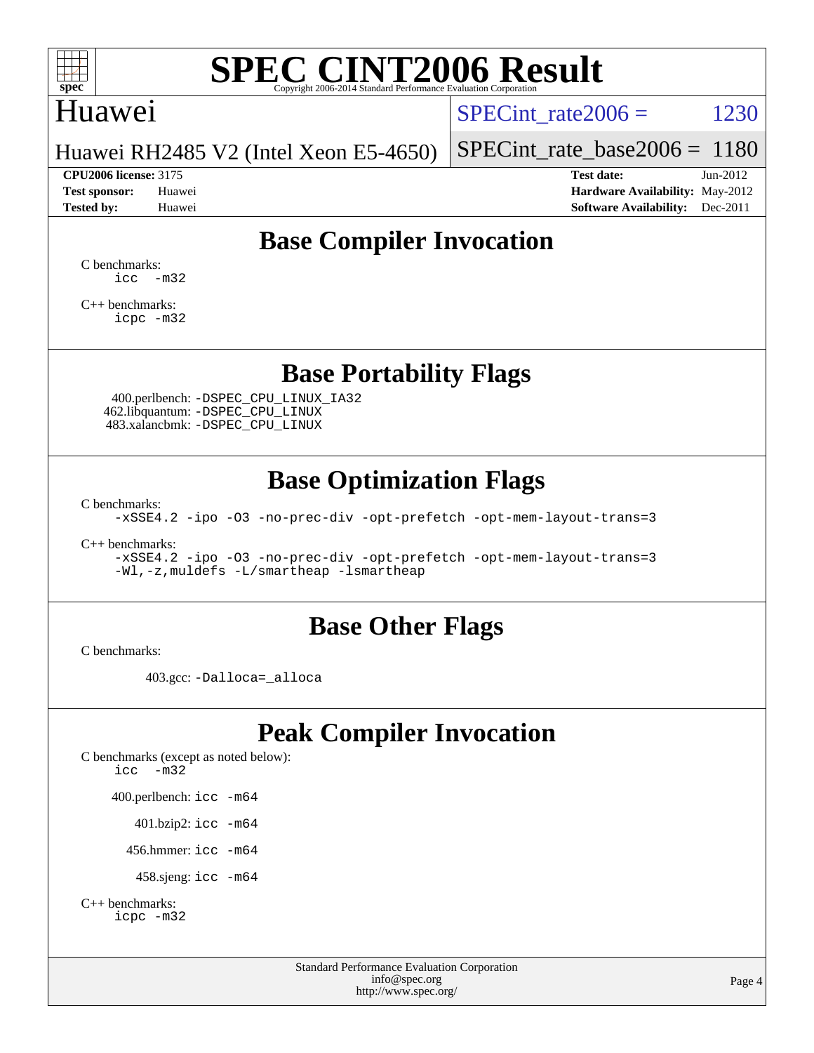

## Huawei

 $SPECTnt_rate2006 = 1230$ 

Huawei RH2485 V2 (Intel Xeon E5-4650)

[SPECint\\_rate\\_base2006 =](http://www.spec.org/auto/cpu2006/Docs/result-fields.html#SPECintratebase2006) 1180

**[CPU2006 license:](http://www.spec.org/auto/cpu2006/Docs/result-fields.html#CPU2006license)** 3175 **[Test date:](http://www.spec.org/auto/cpu2006/Docs/result-fields.html#Testdate)** Jun-2012 **[Test sponsor:](http://www.spec.org/auto/cpu2006/Docs/result-fields.html#Testsponsor)** Huawei **[Hardware Availability:](http://www.spec.org/auto/cpu2006/Docs/result-fields.html#HardwareAvailability)** May-2012 **[Tested by:](http://www.spec.org/auto/cpu2006/Docs/result-fields.html#Testedby)** Huawei **[Software Availability:](http://www.spec.org/auto/cpu2006/Docs/result-fields.html#SoftwareAvailability)** Dec-2011

# **[Base Compiler Invocation](http://www.spec.org/auto/cpu2006/Docs/result-fields.html#BaseCompilerInvocation)**

[C benchmarks](http://www.spec.org/auto/cpu2006/Docs/result-fields.html#Cbenchmarks):  $\text{icc}$   $-\text{m32}$ 

[C++ benchmarks:](http://www.spec.org/auto/cpu2006/Docs/result-fields.html#CXXbenchmarks) [icpc -m32](http://www.spec.org/cpu2006/results/res2012q3/cpu2006-20120624-23175.flags.html#user_CXXbase_intel_icpc_4e5a5ef1a53fd332b3c49e69c3330699)

**[Base Portability Flags](http://www.spec.org/auto/cpu2006/Docs/result-fields.html#BasePortabilityFlags)**

 400.perlbench: [-DSPEC\\_CPU\\_LINUX\\_IA32](http://www.spec.org/cpu2006/results/res2012q3/cpu2006-20120624-23175.flags.html#b400.perlbench_baseCPORTABILITY_DSPEC_CPU_LINUX_IA32) 462.libquantum: [-DSPEC\\_CPU\\_LINUX](http://www.spec.org/cpu2006/results/res2012q3/cpu2006-20120624-23175.flags.html#b462.libquantum_baseCPORTABILITY_DSPEC_CPU_LINUX) 483.xalancbmk: [-DSPEC\\_CPU\\_LINUX](http://www.spec.org/cpu2006/results/res2012q3/cpu2006-20120624-23175.flags.html#b483.xalancbmk_baseCXXPORTABILITY_DSPEC_CPU_LINUX)

# **[Base Optimization Flags](http://www.spec.org/auto/cpu2006/Docs/result-fields.html#BaseOptimizationFlags)**

[C benchmarks](http://www.spec.org/auto/cpu2006/Docs/result-fields.html#Cbenchmarks):

[-xSSE4.2](http://www.spec.org/cpu2006/results/res2012q3/cpu2006-20120624-23175.flags.html#user_CCbase_f-xSSE42_f91528193cf0b216347adb8b939d4107) [-ipo](http://www.spec.org/cpu2006/results/res2012q3/cpu2006-20120624-23175.flags.html#user_CCbase_f-ipo) [-O3](http://www.spec.org/cpu2006/results/res2012q3/cpu2006-20120624-23175.flags.html#user_CCbase_f-O3) [-no-prec-div](http://www.spec.org/cpu2006/results/res2012q3/cpu2006-20120624-23175.flags.html#user_CCbase_f-no-prec-div) [-opt-prefetch](http://www.spec.org/cpu2006/results/res2012q3/cpu2006-20120624-23175.flags.html#user_CCbase_f-opt-prefetch) [-opt-mem-layout-trans=3](http://www.spec.org/cpu2006/results/res2012q3/cpu2006-20120624-23175.flags.html#user_CCbase_f-opt-mem-layout-trans_a7b82ad4bd7abf52556d4961a2ae94d5)

[C++ benchmarks:](http://www.spec.org/auto/cpu2006/Docs/result-fields.html#CXXbenchmarks)

[-xSSE4.2](http://www.spec.org/cpu2006/results/res2012q3/cpu2006-20120624-23175.flags.html#user_CXXbase_f-xSSE42_f91528193cf0b216347adb8b939d4107) [-ipo](http://www.spec.org/cpu2006/results/res2012q3/cpu2006-20120624-23175.flags.html#user_CXXbase_f-ipo) [-O3](http://www.spec.org/cpu2006/results/res2012q3/cpu2006-20120624-23175.flags.html#user_CXXbase_f-O3) [-no-prec-div](http://www.spec.org/cpu2006/results/res2012q3/cpu2006-20120624-23175.flags.html#user_CXXbase_f-no-prec-div) [-opt-prefetch](http://www.spec.org/cpu2006/results/res2012q3/cpu2006-20120624-23175.flags.html#user_CXXbase_f-opt-prefetch) [-opt-mem-layout-trans=3](http://www.spec.org/cpu2006/results/res2012q3/cpu2006-20120624-23175.flags.html#user_CXXbase_f-opt-mem-layout-trans_a7b82ad4bd7abf52556d4961a2ae94d5) [-Wl,-z,muldefs](http://www.spec.org/cpu2006/results/res2012q3/cpu2006-20120624-23175.flags.html#user_CXXbase_link_force_multiple1_74079c344b956b9658436fd1b6dd3a8a) [-L/smartheap -lsmartheap](http://www.spec.org/cpu2006/results/res2012q3/cpu2006-20120624-23175.flags.html#user_CXXbase_SmartHeap_7c9e394a5779e1a7fec7c221e123830c)

# **[Base Other Flags](http://www.spec.org/auto/cpu2006/Docs/result-fields.html#BaseOtherFlags)**

[C benchmarks](http://www.spec.org/auto/cpu2006/Docs/result-fields.html#Cbenchmarks):

403.gcc: [-Dalloca=\\_alloca](http://www.spec.org/cpu2006/results/res2012q3/cpu2006-20120624-23175.flags.html#b403.gcc_baseEXTRA_CFLAGS_Dalloca_be3056838c12de2578596ca5467af7f3)

# **[Peak Compiler Invocation](http://www.spec.org/auto/cpu2006/Docs/result-fields.html#PeakCompilerInvocation)**

[C benchmarks \(except as noted below\)](http://www.spec.org/auto/cpu2006/Docs/result-fields.html#Cbenchmarksexceptasnotedbelow): [icc -m32](http://www.spec.org/cpu2006/results/res2012q3/cpu2006-20120624-23175.flags.html#user_CCpeak_intel_icc_5ff4a39e364c98233615fdd38438c6f2) 400.perlbench: [icc -m64](http://www.spec.org/cpu2006/results/res2012q3/cpu2006-20120624-23175.flags.html#user_peakCCLD400_perlbench_intel_icc_64bit_bda6cc9af1fdbb0edc3795bac97ada53) 401.bzip2: [icc -m64](http://www.spec.org/cpu2006/results/res2012q3/cpu2006-20120624-23175.flags.html#user_peakCCLD401_bzip2_intel_icc_64bit_bda6cc9af1fdbb0edc3795bac97ada53)

456.hmmer: [icc -m64](http://www.spec.org/cpu2006/results/res2012q3/cpu2006-20120624-23175.flags.html#user_peakCCLD456_hmmer_intel_icc_64bit_bda6cc9af1fdbb0edc3795bac97ada53)

458.sjeng: [icc -m64](http://www.spec.org/cpu2006/results/res2012q3/cpu2006-20120624-23175.flags.html#user_peakCCLD458_sjeng_intel_icc_64bit_bda6cc9af1fdbb0edc3795bac97ada53)

```
C++ benchmarks: 
icpc -m32
```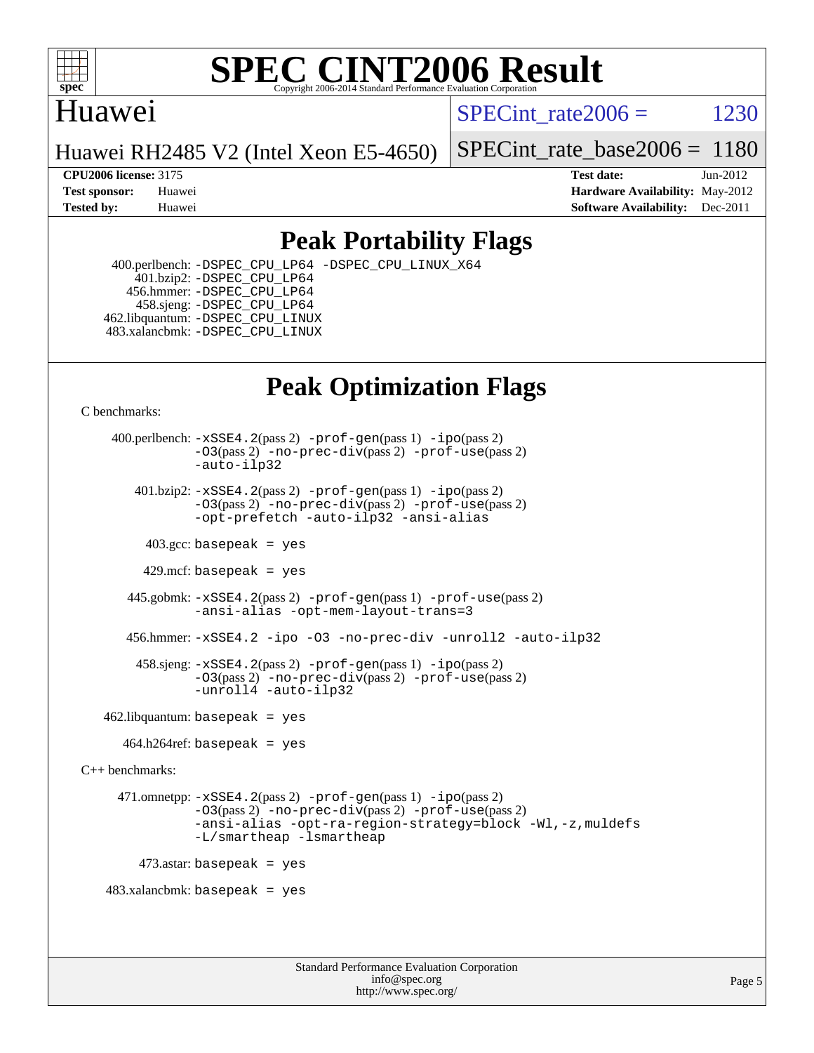

# Huawei

SPECint rate $2006 = 1230$ 

Huawei RH2485 V2 (Intel Xeon E5-4650)

[SPECint\\_rate\\_base2006 =](http://www.spec.org/auto/cpu2006/Docs/result-fields.html#SPECintratebase2006) 1180

**[CPU2006 license:](http://www.spec.org/auto/cpu2006/Docs/result-fields.html#CPU2006license)** 3175 **[Test date:](http://www.spec.org/auto/cpu2006/Docs/result-fields.html#Testdate)** Jun-2012 **[Test sponsor:](http://www.spec.org/auto/cpu2006/Docs/result-fields.html#Testsponsor)** Huawei **[Hardware Availability:](http://www.spec.org/auto/cpu2006/Docs/result-fields.html#HardwareAvailability)** May-2012 **[Tested by:](http://www.spec.org/auto/cpu2006/Docs/result-fields.html#Testedby)** Huawei **[Software Availability:](http://www.spec.org/auto/cpu2006/Docs/result-fields.html#SoftwareAvailability)** Dec-2011

# **[Peak Portability Flags](http://www.spec.org/auto/cpu2006/Docs/result-fields.html#PeakPortabilityFlags)**

 400.perlbench: [-DSPEC\\_CPU\\_LP64](http://www.spec.org/cpu2006/results/res2012q3/cpu2006-20120624-23175.flags.html#b400.perlbench_peakCPORTABILITY_DSPEC_CPU_LP64) [-DSPEC\\_CPU\\_LINUX\\_X64](http://www.spec.org/cpu2006/results/res2012q3/cpu2006-20120624-23175.flags.html#b400.perlbench_peakCPORTABILITY_DSPEC_CPU_LINUX_X64) 401.bzip2: [-DSPEC\\_CPU\\_LP64](http://www.spec.org/cpu2006/results/res2012q3/cpu2006-20120624-23175.flags.html#suite_peakCPORTABILITY401_bzip2_DSPEC_CPU_LP64) 456.hmmer: [-DSPEC\\_CPU\\_LP64](http://www.spec.org/cpu2006/results/res2012q3/cpu2006-20120624-23175.flags.html#suite_peakCPORTABILITY456_hmmer_DSPEC_CPU_LP64) 458.sjeng: [-DSPEC\\_CPU\\_LP64](http://www.spec.org/cpu2006/results/res2012q3/cpu2006-20120624-23175.flags.html#suite_peakCPORTABILITY458_sjeng_DSPEC_CPU_LP64) 462.libquantum: [-DSPEC\\_CPU\\_LINUX](http://www.spec.org/cpu2006/results/res2012q3/cpu2006-20120624-23175.flags.html#b462.libquantum_peakCPORTABILITY_DSPEC_CPU_LINUX) 483.xalancbmk: [-DSPEC\\_CPU\\_LINUX](http://www.spec.org/cpu2006/results/res2012q3/cpu2006-20120624-23175.flags.html#b483.xalancbmk_peakCXXPORTABILITY_DSPEC_CPU_LINUX)

# **[Peak Optimization Flags](http://www.spec.org/auto/cpu2006/Docs/result-fields.html#PeakOptimizationFlags)**

[C benchmarks](http://www.spec.org/auto/cpu2006/Docs/result-fields.html#Cbenchmarks):

 400.perlbench: [-xSSE4.2](http://www.spec.org/cpu2006/results/res2012q3/cpu2006-20120624-23175.flags.html#user_peakPASS2_CFLAGSPASS2_LDCFLAGS400_perlbench_f-xSSE42_f91528193cf0b216347adb8b939d4107)(pass 2) [-prof-gen](http://www.spec.org/cpu2006/results/res2012q3/cpu2006-20120624-23175.flags.html#user_peakPASS1_CFLAGSPASS1_LDCFLAGS400_perlbench_prof_gen_e43856698f6ca7b7e442dfd80e94a8fc)(pass 1) [-ipo](http://www.spec.org/cpu2006/results/res2012q3/cpu2006-20120624-23175.flags.html#user_peakPASS2_CFLAGSPASS2_LDCFLAGS400_perlbench_f-ipo)(pass 2) [-O3](http://www.spec.org/cpu2006/results/res2012q3/cpu2006-20120624-23175.flags.html#user_peakPASS2_CFLAGSPASS2_LDCFLAGS400_perlbench_f-O3)(pass 2) [-no-prec-div](http://www.spec.org/cpu2006/results/res2012q3/cpu2006-20120624-23175.flags.html#user_peakPASS2_CFLAGSPASS2_LDCFLAGS400_perlbench_f-no-prec-div)(pass 2) [-prof-use](http://www.spec.org/cpu2006/results/res2012q3/cpu2006-20120624-23175.flags.html#user_peakPASS2_CFLAGSPASS2_LDCFLAGS400_perlbench_prof_use_bccf7792157ff70d64e32fe3e1250b55)(pass 2) [-auto-ilp32](http://www.spec.org/cpu2006/results/res2012q3/cpu2006-20120624-23175.flags.html#user_peakCOPTIMIZE400_perlbench_f-auto-ilp32) 401.bzip2: [-xSSE4.2](http://www.spec.org/cpu2006/results/res2012q3/cpu2006-20120624-23175.flags.html#user_peakPASS2_CFLAGSPASS2_LDCFLAGS401_bzip2_f-xSSE42_f91528193cf0b216347adb8b939d4107)(pass 2) [-prof-gen](http://www.spec.org/cpu2006/results/res2012q3/cpu2006-20120624-23175.flags.html#user_peakPASS1_CFLAGSPASS1_LDCFLAGS401_bzip2_prof_gen_e43856698f6ca7b7e442dfd80e94a8fc)(pass 1) [-ipo](http://www.spec.org/cpu2006/results/res2012q3/cpu2006-20120624-23175.flags.html#user_peakPASS2_CFLAGSPASS2_LDCFLAGS401_bzip2_f-ipo)(pass 2) [-O3](http://www.spec.org/cpu2006/results/res2012q3/cpu2006-20120624-23175.flags.html#user_peakPASS2_CFLAGSPASS2_LDCFLAGS401_bzip2_f-O3)(pass 2) [-no-prec-div](http://www.spec.org/cpu2006/results/res2012q3/cpu2006-20120624-23175.flags.html#user_peakPASS2_CFLAGSPASS2_LDCFLAGS401_bzip2_f-no-prec-div)(pass 2) [-prof-use](http://www.spec.org/cpu2006/results/res2012q3/cpu2006-20120624-23175.flags.html#user_peakPASS2_CFLAGSPASS2_LDCFLAGS401_bzip2_prof_use_bccf7792157ff70d64e32fe3e1250b55)(pass 2) [-opt-prefetch](http://www.spec.org/cpu2006/results/res2012q3/cpu2006-20120624-23175.flags.html#user_peakCOPTIMIZE401_bzip2_f-opt-prefetch) [-auto-ilp32](http://www.spec.org/cpu2006/results/res2012q3/cpu2006-20120624-23175.flags.html#user_peakCOPTIMIZE401_bzip2_f-auto-ilp32) [-ansi-alias](http://www.spec.org/cpu2006/results/res2012q3/cpu2006-20120624-23175.flags.html#user_peakCOPTIMIZE401_bzip2_f-ansi-alias)  $403.\text{sec: basepeak}$  = yes 429.mcf: basepeak = yes 445.gobmk: [-xSSE4.2](http://www.spec.org/cpu2006/results/res2012q3/cpu2006-20120624-23175.flags.html#user_peakPASS2_CFLAGSPASS2_LDCFLAGS445_gobmk_f-xSSE42_f91528193cf0b216347adb8b939d4107)(pass 2) [-prof-gen](http://www.spec.org/cpu2006/results/res2012q3/cpu2006-20120624-23175.flags.html#user_peakPASS1_CFLAGSPASS1_LDCFLAGS445_gobmk_prof_gen_e43856698f6ca7b7e442dfd80e94a8fc)(pass 1) [-prof-use](http://www.spec.org/cpu2006/results/res2012q3/cpu2006-20120624-23175.flags.html#user_peakPASS2_CFLAGSPASS2_LDCFLAGS445_gobmk_prof_use_bccf7792157ff70d64e32fe3e1250b55)(pass 2) [-ansi-alias](http://www.spec.org/cpu2006/results/res2012q3/cpu2006-20120624-23175.flags.html#user_peakCOPTIMIZE445_gobmk_f-ansi-alias) [-opt-mem-layout-trans=3](http://www.spec.org/cpu2006/results/res2012q3/cpu2006-20120624-23175.flags.html#user_peakCOPTIMIZE445_gobmk_f-opt-mem-layout-trans_a7b82ad4bd7abf52556d4961a2ae94d5) 456.hmmer: [-xSSE4.2](http://www.spec.org/cpu2006/results/res2012q3/cpu2006-20120624-23175.flags.html#user_peakCOPTIMIZE456_hmmer_f-xSSE42_f91528193cf0b216347adb8b939d4107) [-ipo](http://www.spec.org/cpu2006/results/res2012q3/cpu2006-20120624-23175.flags.html#user_peakCOPTIMIZE456_hmmer_f-ipo) [-O3](http://www.spec.org/cpu2006/results/res2012q3/cpu2006-20120624-23175.flags.html#user_peakCOPTIMIZE456_hmmer_f-O3) [-no-prec-div](http://www.spec.org/cpu2006/results/res2012q3/cpu2006-20120624-23175.flags.html#user_peakCOPTIMIZE456_hmmer_f-no-prec-div) [-unroll2](http://www.spec.org/cpu2006/results/res2012q3/cpu2006-20120624-23175.flags.html#user_peakCOPTIMIZE456_hmmer_f-unroll_784dae83bebfb236979b41d2422d7ec2) [-auto-ilp32](http://www.spec.org/cpu2006/results/res2012q3/cpu2006-20120624-23175.flags.html#user_peakCOPTIMIZE456_hmmer_f-auto-ilp32) 458.sjeng: [-xSSE4.2](http://www.spec.org/cpu2006/results/res2012q3/cpu2006-20120624-23175.flags.html#user_peakPASS2_CFLAGSPASS2_LDCFLAGS458_sjeng_f-xSSE42_f91528193cf0b216347adb8b939d4107)(pass 2) [-prof-gen](http://www.spec.org/cpu2006/results/res2012q3/cpu2006-20120624-23175.flags.html#user_peakPASS1_CFLAGSPASS1_LDCFLAGS458_sjeng_prof_gen_e43856698f6ca7b7e442dfd80e94a8fc)(pass 1) [-ipo](http://www.spec.org/cpu2006/results/res2012q3/cpu2006-20120624-23175.flags.html#user_peakPASS2_CFLAGSPASS2_LDCFLAGS458_sjeng_f-ipo)(pass 2) [-O3](http://www.spec.org/cpu2006/results/res2012q3/cpu2006-20120624-23175.flags.html#user_peakPASS2_CFLAGSPASS2_LDCFLAGS458_sjeng_f-O3)(pass 2) [-no-prec-div](http://www.spec.org/cpu2006/results/res2012q3/cpu2006-20120624-23175.flags.html#user_peakPASS2_CFLAGSPASS2_LDCFLAGS458_sjeng_f-no-prec-div)(pass 2) [-prof-use](http://www.spec.org/cpu2006/results/res2012q3/cpu2006-20120624-23175.flags.html#user_peakPASS2_CFLAGSPASS2_LDCFLAGS458_sjeng_prof_use_bccf7792157ff70d64e32fe3e1250b55)(pass 2) [-unroll4](http://www.spec.org/cpu2006/results/res2012q3/cpu2006-20120624-23175.flags.html#user_peakCOPTIMIZE458_sjeng_f-unroll_4e5e4ed65b7fd20bdcd365bec371b81f) [-auto-ilp32](http://www.spec.org/cpu2006/results/res2012q3/cpu2006-20120624-23175.flags.html#user_peakCOPTIMIZE458_sjeng_f-auto-ilp32)  $462$ .libquantum: basepeak = yes  $464.h264$ ref: basepeak = yes [C++ benchmarks:](http://www.spec.org/auto/cpu2006/Docs/result-fields.html#CXXbenchmarks) 471.omnetpp: [-xSSE4.2](http://www.spec.org/cpu2006/results/res2012q3/cpu2006-20120624-23175.flags.html#user_peakPASS2_CXXFLAGSPASS2_LDCXXFLAGS471_omnetpp_f-xSSE42_f91528193cf0b216347adb8b939d4107)(pass 2) [-prof-gen](http://www.spec.org/cpu2006/results/res2012q3/cpu2006-20120624-23175.flags.html#user_peakPASS1_CXXFLAGSPASS1_LDCXXFLAGS471_omnetpp_prof_gen_e43856698f6ca7b7e442dfd80e94a8fc)(pass 1) [-ipo](http://www.spec.org/cpu2006/results/res2012q3/cpu2006-20120624-23175.flags.html#user_peakPASS2_CXXFLAGSPASS2_LDCXXFLAGS471_omnetpp_f-ipo)(pass 2) [-O3](http://www.spec.org/cpu2006/results/res2012q3/cpu2006-20120624-23175.flags.html#user_peakPASS2_CXXFLAGSPASS2_LDCXXFLAGS471_omnetpp_f-O3)(pass 2) [-no-prec-div](http://www.spec.org/cpu2006/results/res2012q3/cpu2006-20120624-23175.flags.html#user_peakPASS2_CXXFLAGSPASS2_LDCXXFLAGS471_omnetpp_f-no-prec-div)(pass 2) [-prof-use](http://www.spec.org/cpu2006/results/res2012q3/cpu2006-20120624-23175.flags.html#user_peakPASS2_CXXFLAGSPASS2_LDCXXFLAGS471_omnetpp_prof_use_bccf7792157ff70d64e32fe3e1250b55)(pass 2) [-ansi-alias](http://www.spec.org/cpu2006/results/res2012q3/cpu2006-20120624-23175.flags.html#user_peakCXXOPTIMIZE471_omnetpp_f-ansi-alias) [-opt-ra-region-strategy=block](http://www.spec.org/cpu2006/results/res2012q3/cpu2006-20120624-23175.flags.html#user_peakCXXOPTIMIZE471_omnetpp_f-opt-ra-region-strategy_a0a37c372d03933b2a18d4af463c1f69) [-Wl,-z,muldefs](http://www.spec.org/cpu2006/results/res2012q3/cpu2006-20120624-23175.flags.html#user_peakEXTRA_LDFLAGS471_omnetpp_link_force_multiple1_74079c344b956b9658436fd1b6dd3a8a) [-L/smartheap -lsmartheap](http://www.spec.org/cpu2006/results/res2012q3/cpu2006-20120624-23175.flags.html#user_peakEXTRA_LIBS471_omnetpp_SmartHeap_7c9e394a5779e1a7fec7c221e123830c)  $473$ .astar: basepeak = yes 483.xalancbmk: basepeak = yes